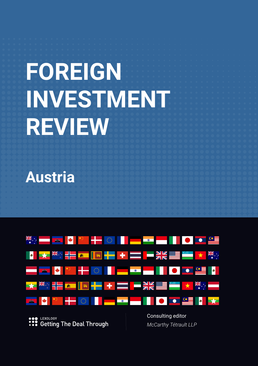# **FOREIGN INVESTMENT REVIEW**

**Austria**



LEXOLOGY **:::** Getting The Deal Through Consulting editor *McCarthy Tétrault LLP*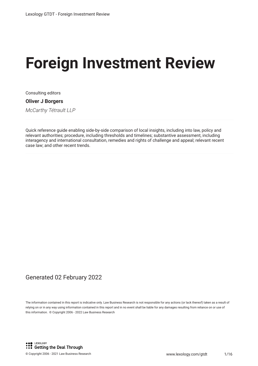# **Foreign Investment Review**

Consulting editors

#### **Oliver J Borgers**

*McCarthy Tétrault LLP*

Quick reference guide enabling side-by-side comparison of local insights, including into law, policy and relevant authorities; procedure, including thresholds and timelines; substantive assessment, including interagency and international consultation, remedies and rights of challenge and appeal; relevant recent case law; and other recent trends.

#### Generated 02 February 2022

The information contained in this report is indicative only. Law Business Research is not responsible for any actions (or lack thereof) taken as a result of relying on or in any way using information contained in this report and in no event shall be liable for any damages resulting from reliance on or use of this information. © Copyright 2006 - 2022 Law Business Research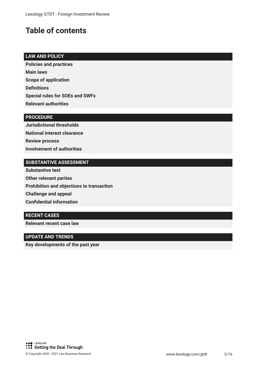## **Table of contents**

#### **LAW AND POLICY**

**Policies and practices Main laws Scope of application Defnitions Special rules for SOEs and SWFs Relevant authorities**

#### **PROCEDURE**

**Jurisdictional thresholds National interest clearance Review process Involvement of authorities**

#### **SUBSTANTIVE ASSESSMENT**

**Substantive test Other relevant parties Prohibition and objections to transaction Challenge and appeal Confdential information**

#### **RECENT CASES**

**Relevant recent case law**

#### **UPDATE AND TRENDS**

**Key developments of the past year**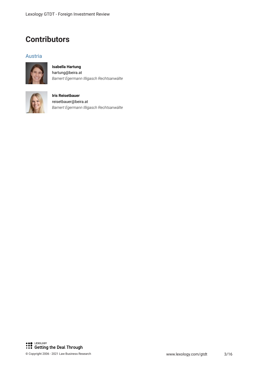### **Contributors**

#### Austria



#### **Isabella Hartung** hartung@beira.at *Barnert Egermann Illigasch Rechtsanwälte*



#### **Iris Reisetbauer** reisetbauer@beira.at *Barnert Egermann Illigasch Rechtsanwälte*

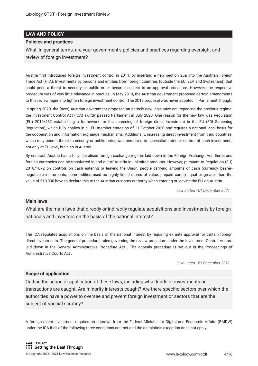#### **LAW AND POLICY**

#### **Policies and practices**

What, in general terms, are your government's policies and practices regarding oversight and review of foreign investment?

Austria frst introduced foreign investment control in 2011, by inserting a new section 25a into the Austrian Foreign Trade Act (FTA). Investments by persons and entities from foreign countries (outside the EU, EEA and Switzerland) that could pose a threat to security or public order became subject to an approval procedure. However, the respective procedure was of very little relevance in practice. In May 2019, the Austrian government proposed certain amendments to this review regime to tighten foreign investment control. The 2019 proposal was never adopted in Parliament, though.

In spring 2020, the (new) Austrian government proposed an entirely new legislative act, repealing the previous regime: the Investment Control Act (ICA) swiftly passed Parliament in July 2020. One reason for the new law was Regulation (EU) 2019/452 establishing a framework for the screening of foreign direct investment in the EU (FDI Screening Regulation), which fully applies in all EU member states as of 11 October 2020 and requires a national legal basis for the cooperation and information exchange mechanisms. Additionally, increasing direct investment from third countries, which may pose a threat to security or public order, was perceived to necessitate stricter control of such investments not only at EU level, but also in Austria.

By contrast, Austria has a fully liberalised foreign exchange regime, laid down in the Foreign Exchange Act. Euros and foreign currencies can be transferred in and out of Austria in unlimited amounts. However, pursuant to Regulation (EU) 2018/1672 on controls on cash entering or leaving the Union, people carrying amounts of cash (currency, bearernegotiable instruments, commodities used as highly liquid stores of value, prepaid cards) equal or greater than the value of €10,000 have to declare this to the Austrian customs authority when entering or leaving the EU via Austria.

*Law stated - 01 December 2021*

#### **Main laws**

What are the main laws that directly or indirectly regulate acquisitions and investments by foreign nationals and investors on the basis of the national interest?

The ICA regulates acquisitions on the basis of the national interest by requiring ex ante approval for certain foreign direct investments. The general procedural rules governing the review procedure under the Investment Control Act are laid down in the General Administrative Procedure Act . The appeals procedure is set out in the Proceedings of Administrative Courts Act .

*Law stated - 01 December 2021*

#### **Scope of application**

Outline the scope of application of these laws, including what kinds of investments or transactions are caught. Are minority interests caught? Are there specifc sectors over which the authorities have a power to oversee and prevent foreign investment or sectors that are the subject of special scrutiny?

A foreign direct investment requires an approval from the Federal Minister for Digital and Economic Affairs (BMDW) under the ICA if all of the following three conditions are met and the de minimis exception does not apply: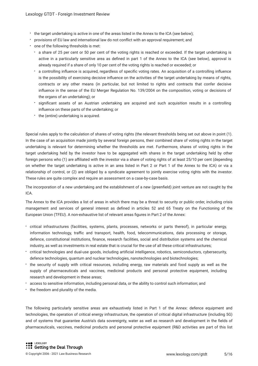- the target undertaking is active in one of the areas listed in the Annex to the ICA (see below);
- provisions of EU law and international law do not confict with an approval requirement; and
- one of the following thresholds is met:
	- a share of 25 per cent or 50 per cent of the voting rights is reached or exceeded. If the target undertaking is active in a particularly sensitive area as defned in part 1 of the Annex to the ICA (see below), approval is already required if a share of only 10 per cent of the voting rights is reached or exceeded; or
	- a controlling infuence is acquired, regardless of specifc voting rates. An acquisition of a controlling infuence is the possibility of exercising decisive infuence on the activities of the target undertaking by means of rights, contracts or any other means (in particular, but not limited to rights and contracts that confer decisive infuence in the sense of the EU Merger Regulation No. 139/2004 on the composition, voting or decisions of the organs of an undertaking); or
	- signifcant assets of an Austrian undertaking are acquired and such acquisition results in a controlling infuence on these parts of the undertaking; or
	- the (entire) undertaking is acquired.

Special rules apply to the calculation of shares of voting rights (the relevant thresholds being set out above in point (1). In the case of an acquisition made jointly by several foreign persons, their combined share of voting rights in the target undertaking is relevant for determining whether the thresholds are met. Furthermore, shares of voting rights in the target undertaking held by the investor have to be aggregated with shares in the target undertaking held by other foreign persons who (1) are afliated with the investor via a share of voting rights of at least 25/10 per cent (depending on whether the target undertaking is active in an area listed in Part 2 or Part 1 of the Annex to the ICA) or via a relationship of control, or (2) are obliged by a syndicate agreement to jointly exercise voting rights with the investor. These rules are quite complex and require an assessment on a case-by-case basis.

The incorporation of a new undertaking and the establishment of a new (greenfeld) joint venture are not caught by the ICA.

The Annex to the ICA provides a list of areas in which there may be a threat to security or public order, including crisis management and services of general interest as defned in articles 52 and 65 Treaty on the Functioning of the European Union (TFEU). A non-exhaustive list of relevant areas fgures in Part 2 of the Annex:

- critical infrastructures (facilities, systems, plants, processes, networks or parts thereof), in particular energy, information technology, traffic and transport, health, food, telecommunications, data processing or storage, defence, constitutional institutions, fnance, research facilities, social and distribution systems and the chemical industry, as well as investments in real estate that is crucial for the use of all these critical infrastructures;
- critical technologies and dual-use goods, including artifcial intelligence, robotics, semiconductors, cybersecurity, defence technologies, quantum and nuclear technologies, nanotechnologies and biotechnologies;
- the security of supply with critical resources, including energy, raw materials and food supply as well as the supply of pharmaceuticals and vaccines, medicinal products and personal protective equipment, including research and development in these areas;
- access to sensitive information, including personal data, or the ability to control such information; and
- the freedom and plurality of the media.

The following particularly sensitive areas are exhaustively listed in Part 1 of the Annex: defence equipment and technologies, the operation of critical energy infrastructure, the operation of critical digital infrastructure (including 5G) and of systems that guarantee Austria's data sovereignty, water as well as research and development in the felds of pharmaceuticals, vaccines, medicinal products and personal protective equipment (R&D activities are part of this list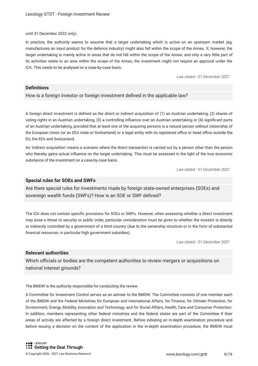until 31 December 2022 only).

In practice, the authority seems to assume that a target undertaking which is active on an upstream market (eg, manufactures an input product for the defence industry) might also fall within the scope of the Annex. If, however, the target undertaking is mainly active in areas that do not fall within the scope of the Annex, and only a very little part of its activities relate to an area within the scope of the Annex, the investment might not require an approval under the ICA. This needs to be analysed on a case-by-case basis.

*Law stated - 01 December 2021*

#### **Defnitions**

How is a foreign investor or foreign investment defned in the applicable law?

A foreign direct investment is defned as the direct or indirect acquisition of (1) an Austrian undertaking, (2) shares of voting rights in an Austrian undertaking, (3) a controlling infuence over an Austrian undertaking or (4) signifcant parts of an Austrian undertaking, provided that at least one of the acquiring persons is a natural person without citizenship of the European Union (or an EEA state or Switzerland) or a legal entity with its registered office or head office outside the EU, the EEA and Switzerland.

An 'indirect acquisition' means a scenario where the direct transaction is carried out by a person other than the person who thereby gains actual infuence on the target undertaking. This must be assessed in the light of the true economic substance of the investment on a case-by-case basis.

*Law stated - 01 December 2021*

#### **Special rules for SOEs and SWFs**

Are there special rules for investments made by foreign state-owned enterprises (SOEs) and sovereign wealth funds (SWFs)? How is an SOE or SWF defned?

The ICA does not contain specifc provisions for SOEs or SWFs. However, when assessing whether a direct investment may pose a threat to security or public order, particular consideration must be given to whether the investor is directly or indirectly controlled by a government of a third country (due to the ownership structure or in the form of substantial fnancial resources, in particular high government subsidies).

*Law stated - 01 December 2021*

#### **Relevant authorities**

Which officials or bodies are the competent authorities to review mergers or acquisitions on national interest grounds?

The BMDW is the authority responsible for conducting the review.

A Committee for Investment Control serves as an adviser to the BMDW. The Committee consists of one member each of the BMDW and the Federal Ministries for European and International Affairs, for Finance, for Climate Protection, for Environment, Energy, Mobility, Innovation and Technology, and for Social Affairs, Health, Care and Consumer Protection. In addition, members representing other federal ministries and the federal states are part of the Committee if their areas of activity are affected by a foreign direct investment. Before initiating an in-depth examination procedure and before issuing a decision on the content of the application in the in-depth examination procedure, the BMDW must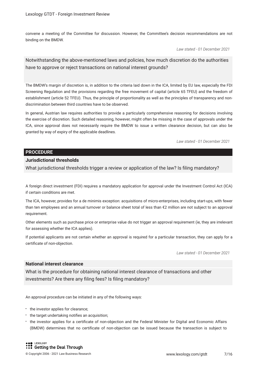convene a meeting of the Committee for discussion. However, the Committee's decision recommendations are not binding on the BMDW.

*Law stated - 01 December 2021*

Notwithstanding the above-mentioned laws and policies, how much discretion do the authorities have to approve or reject transactions on national interest grounds?

The BMDW's margin of discretion is, in addition to the criteria laid down in the ICA, limited by EU law, especially the FDI Screening Regulation and the provisions regarding the free movement of capital (article 65 TFEU) and the freedom of establishment (article 52 TFEU). Thus, the principle of proportionality as well as the principles of transparency and nondiscrimination between third countries have to be observed.

In general, Austrian law requires authorities to provide a particularly comprehensive reasoning for decisions involving the exercise of discretion. Such detailed reasoning, however, might often be missing in the case of approvals under the ICA, since approval does not necessarily require the BMDW to issue a written clearance decision, but can also be granted by way of expiry of the applicable deadlines.

*Law stated - 01 December 2021*

#### **PROCEDURE**

#### **Jurisdictional thresholds**

What jurisdictional thresholds trigger a review or application of the law? Is fling mandatory?

A foreign direct investment (FDI) requires a mandatory application for approval under the Investment Control Act (ICA) if certain conditions are met.

The ICA, however, provides for a de minimis exception: acquisitions of micro-enterprises, including start-ups, with fewer than ten employees and an annual turnover or balance sheet total of less than €2 million are not subject to an approval requirement.

Other elements such as purchase price or enterprise value do not trigger an approval requirement (ie, they are irrelevant for assessing whether the ICA applies).

If potential applicants are not certain whether an approval is required for a particular transaction, they can apply for a certifcate of non-objection.

*Law stated - 01 December 2021*

#### **National interest clearance**

What is the procedure for obtaining national interest clearance of transactions and other investments? Are there any fling fees? Is fling mandatory?

An approval procedure can be initiated in any of the following ways:

- the investor applies for clearance;
- the target undertaking notifies an acquisition;
- the investor applies for a certifcate of non-objection and the Federal Minister for Digital and Economic Affairs (BMDW) determines that no certifcate of non-objection can be issued because the transaction is subject to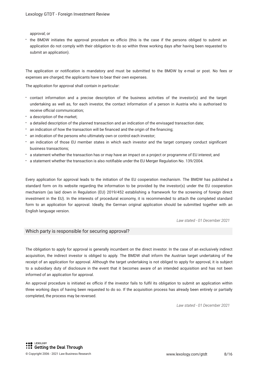approval; or

the BMDW initiates the approval procedure ex officio (this is the case if the persons obliged to submit an application do not comply with their obligation to do so within three working days after having been requested to submit an application).

The application or notifcation is mandatory and must be submitted to the BMDW by e-mail or post. No fees or expenses are charged; the applicants have to bear their own expenses.

The application for approval shall contain in particular:

- contact information and a precise description of the business activities of the investor(s) and the target undertaking as well as, for each investor, the contact information of a person in Austria who is authorised to receive official communication;
- a description of the market;
- a detailed description of the planned transaction and an indication of the envisaged transaction date;
- an indication of how the transaction will be fnanced and the origin of the fnancing;
- an indication of the persons who ultimately own or control each investor;
- an indication of those EU member states in which each investor and the target company conduct signifcant business transactions;
- a statement whether the transaction has or may have an impact on a project or programme of EU interest; and
- a statement whether the transaction is also notifable under the EU Merger Regulation No. 139/2004.

Every application for approval leads to the initiation of the EU cooperation mechanism. The BMDW has published a standard form on its website regarding the information to be provided by the investor(s) under the EU cooperation mechanism (as laid down in Regulation (EU) 2019/452 establishing a framework for the screening of foreign direct investment in the EU). In the interests of procedural economy, it is recommended to attach the completed standard form to an application for approval. Ideally, the German original application should be submitted together with an English language version.

*Law stated - 01 December 2021*

#### Which party is responsible for securing approval?

The obligation to apply for approval is generally incumbent on the direct investor. In the case of an exclusively indirect acquisition, the indirect investor is obliged to apply. The BMDW shall inform the Austrian target undertaking of the receipt of an application for approval. Although the target undertaking is not obliged to apply for approval, it is subject to a subsidiary duty of disclosure in the event that it becomes aware of an intended acquisition and has not been informed of an application for approval.

An approval procedure is initiated ex officio if the investor fails to fulfil its obligation to submit an application within three working days of having been requested to do so. If the acquisition process has already been entirely or partially completed, the process may be reversed.

*Law stated - 01 December 2021*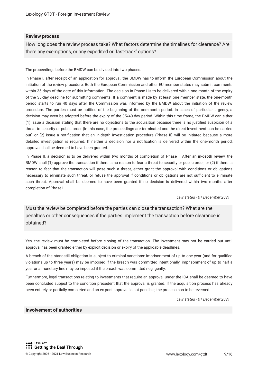#### **Review process**

How long does the review process take? What factors determine the timelines for clearance? Are there any exemptions, or any expedited or 'fast-track' options?

The proceedings before the BMDW can be divided into two phases.

In Phase I, after receipt of an application for approval, the BMDW has to inform the European Commission about the initiation of the review procedure. Both the European Commission and other EU member states may submit comments within 35 days of the date of this information. The decision in Phase I is to be delivered within one month of the expiry of the 35-day deadline for submitting comments. If a comment is made by at least one member state, the one-month period starts to run 40 days after the Commission was informed by the BMDW about the initiation of the review procedure. The parties must be notifed of the beginning of the one-month period. In cases of particular urgency, a decision may even be adopted before the expiry of the 35/40-day period. Within this time frame, the BMDW can either (1) issue a decision stating that there are no objections to the acquisition because there is no justifed suspicion of a threat to security or public order (in this case, the proceedings are terminated and the direct investment can be carried out) or (2) issue a notifcation that an in-depth investigation procedure (Phase II) will be initiated because a more detailed investigation is required. If neither a decision nor a notifcation is delivered within the one-month period, approval shall be deemed to have been granted.

In Phase II, a decision is to be delivered within two months of completion of Phase I. After an in-depth review, the BMDW shall (1) approve the transaction if there is no reason to fear a threat to security or public order, or (2) if there is reason to fear that the transaction will pose such a threat, either grant the approval with conditions or obligations necessary to eliminate such threat, or refuse the approval if conditions or obligations are not sufficient to eliminate such threat. Approval shall be deemed to have been granted if no decision is delivered within two months after completion of Phase I.

*Law stated - 01 December 2021*

Must the review be completed before the parties can close the transaction? What are the penalties or other consequences if the parties implement the transaction before clearance is obtained?

Yes, the review must be completed before closing of the transaction. The investment may not be carried out until approval has been granted either by explicit decision or expiry of the applicable deadlines.

A breach of the standstill obligation is subject to criminal sanctions: imprisonment of up to one year (and for qualifed violations up to three years) may be imposed if the breach was committed intentionally; imprisonment of up to half a year or a monetary fne may be imposed if the breach was committed negligently.

Furthermore, legal transactions relating to investments that require an approval under the ICA shall be deemed to have been concluded subject to the condition precedent that the approval is granted. If the acquisition process has already been entirely or partially completed and an ex post approval is not possible, the process has to be reversed.

*Law stated - 01 December 2021*

#### **Involvement of authorities**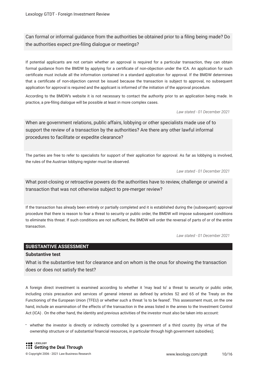Can formal or informal guidance from the authorities be obtained prior to a fling being made? Do the authorities expect pre-fling dialogue or meetings?

If potential applicants are not certain whether an approval is required for a particular transaction, they can obtain formal guidance from the BMDW by applying for a certifcate of non-objection under the ICA. An application for such certifcate must include all the information contained in a standard application for approval. If the BMDW determines that a certifcate of non-objection cannot be issued because the transaction is subject to approval, no subsequent application for approval is required and the applicant is informed of the initiation of the approval procedure.

According to the BMDW's website it is not necessary to contact the authority prior to an application being made. In practice, a pre-fling dialogue will be possible at least in more complex cases.

*Law stated - 01 December 2021*

When are government relations, public affairs, lobbying or other specialists made use of to support the review of a transaction by the authorities? Are there any other lawful informal procedures to facilitate or expedite clearance?

The parties are free to refer to specialists for support of their application for approval. As far as lobbying is involved, the rules of the Austrian lobbying register must be observed.

*Law stated - 01 December 2021*

What post-closing or retroactive powers do the authorities have to review, challenge or unwind a transaction that was not otherwise subject to pre-merger review?

If the transaction has already been entirely or partially completed and it is established during the (subsequent) approval procedure that there is reason to fear a threat to security or public order, the BMDW will impose subsequent conditions to eliminate this threat. If such conditions are not sufficient, the BMDW will order the reversal of parts of or of the entire transaction.

*Law stated - 01 December 2021*

#### **SUBSTANTIVE ASSESSMENT**

#### **Substantive test**

What is the substantive test for clearance and on whom is the onus for showing the transaction does or does not satisfy the test?

A foreign direct investment is examined according to whether it 'may lead to' a threat to security or public order, including crisis precaution and services of general interest as defned by articles 52 and 65 of the Treaty on the Functioning of the European Union (TFEU) or whether such a threat 'is to be feared'. This assessment must, on the one hand, include an examination of the effects of the transaction in the areas listed in the annex to the Investment Control Act (ICA) . On the other hand, the identity and previous activities of the investor must also be taken into account:

whether the investor is directly or indirectly controlled by a government of a third country (by virtue of the ownership structure or of substantial fnancial resources, in particular through high government subsidies);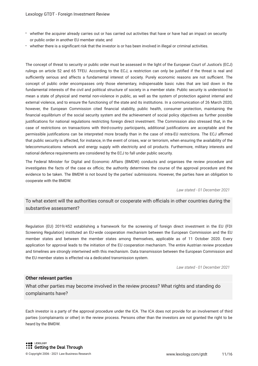- whether the acquirer already carries out or has carried out activities that have or have had an impact on security or public order in another EU member state; and
- whether there is a signifcant risk that the investor is or has been involved in illegal or criminal activities.

The concept of threat to security or public order must be assessed in the light of the European Court of Justice's (ECJ) rulings on article 52 and 65 TFEU. According to the ECJ, a restriction can only be justifed if the threat is real and sufficiently serious and affects a fundamental interest of society. Purely economic reasons are not sufficient. The concept of public order encompasses only those elementary, indispensable basic rules that are laid down in the fundamental interests of the civil and political structure of society in a member state. Public security is understood to mean a state of physical and mental non-violence in public, as well as the system of protection against internal and external violence, and to ensure the functioning of the state and its institutions. In a communication of 26 March 2020, however, the European Commission cited fnancial stability, public health, consumer protection, maintaining the fnancial equilibrium of the social security system and the achievement of social policy objectives as further possible justifcations for national regulations restricting foreign direct investment. The Commission also stressed that, in the case of restrictions on transactions with third-country participants, additional justifcations are acceptable and the permissible justifications can be interpreted more broadly than in the case of intra-EU restrictions. The ECJ affirmed that public security is affected, for instance, in the event of crises, war or terrorism, when ensuring the availability of the telecommunications network and energy supply with electricity and oil products. Furthermore, military interests and national defence requirements are considered by the ECJ to fall under public security.

The Federal Minister for Digital and Economic Affairs (BMDW) conducts and organises the review procedure and investigates the facts of the case ex officio; the authority determines the course of the approval procedure and the evidence to be taken. The BMDW is not bound by the parties' submissions. However, the parties have an obligation to cooperate with the BMDW.

*Law stated - 01 December 2021*

To what extent will the authorities consult or cooperate with officials in other countries during the substantive assessment?

Regulation (EU) 2019/452 establishing a framework for the screening of foreign direct investment in the EU (FDI Screening Regulation) instituted an EU-wide cooperation mechanism between the European Commission and the EU member states and between the member states among themselves, applicable as of 11 October 2020. Every application for approval leads to the initiation of the EU cooperation mechanism. The entire Austrian review procedure and timelines are strongly intertwined with this mechanism. Data transmission between the European Commission and the EU member states is effected via a dedicated transmission system.

*Law stated - 01 December 2021*

#### **Other relevant parties**

What other parties may become involved in the review process? What rights and standing do complainants have?

Each investor is a party of the approval procedure under the ICA. The ICA does not provide for an involvement of third parties (complainants or other) in the review process. Persons other than the investors are not granted the right to be heard by the BMDW.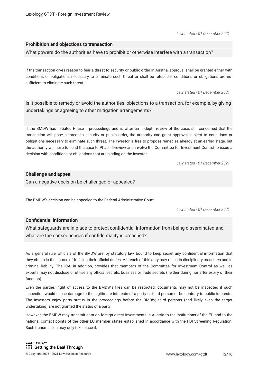*Law stated - 01 December 2021*

#### **Prohibition and objections to transaction**

What powers do the authorities have to prohibit or otherwise interfere with a transaction?

If the transaction gives reason to fear a threat to security or public order in Austria, approval shall be granted either with conditions or obligations necessary to eliminate such threat or shall be refused if conditions or obligations are not sufficient to eliminate such threat.

*Law stated - 01 December 2021*

Is it possible to remedy or avoid the authorities' objections to a transaction, for example, by giving undertakings or agreeing to other mitigation arrangements?

If the BMDW has initiated Phase II proceedings and is, after an in-depth review of the case, still concerned that the transaction will pose a threat to security or public order, the authority can grant approval subject to conditions or obligations necessary to eliminate such threat. The investor is free to propose remedies already at an earlier stage, but the authority will have to send the case to Phase II-review and involve the Committee for Investment Control to issue a decision with conditions or obligations that are binding on the investor.

*Law stated - 01 December 2021*

#### **Challenge and appeal**

Can a negative decision be challenged or appealed?

The BMDW's decision can be appealed to the Federal Administrative Court.

*Law stated - 01 December 2021*

#### **Confdential information**

What safeguards are in place to protect confdential information from being disseminated and what are the consequences if confidentiality is breached?

As a general rule, officials of the BMDW are, by statutory law, bound to keep secret any confidential information that they obtain in the course of fulfilling their official duties. A breach of this duty may result in disciplinary measures and in criminal liability. The ICA, in addition, provides that members of the Committee for Investment Control as well as experts may not disclose or utilise any official secrets, business or trade secrets (neither during nor after expiry of their function).

Even the parties' right of access to the BMDW's fles can be restricted: documents may not be inspected if such inspection would cause damage to the legitimate interests of a party or third person or be contrary to public interests. The investors enjoy party status in the proceedings before the BMDW; third persons (and likely even the target undertaking) are not granted the status of a party.

However, the BMDW may transmit data on foreign direct investments in Austria to the institutions of the EU and to the national contact points of the other EU member states established in accordance with the FDI Screening Regulation. Such transmission may only take place if: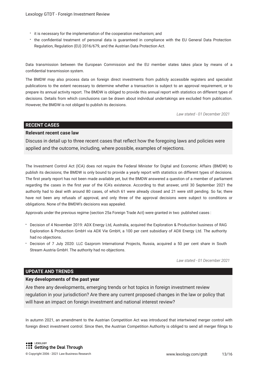- $\cdot$  it is necessary for the implementation of the cooperation mechanism; and
- the confdential treatment of personal data is guaranteed in compliance with the EU General Data Protection Regulation, Regulation (EU) 2016/679, and the Austrian Data Protection Act.

Data transmission between the European Commission and the EU member states takes place by means of a confdential transmission system.

The BMDW may also process data on foreign direct investments from publicly accessible registers and specialist publications to the extent necessary to determine whether a transaction is subject to an approval requirement, or to prepare its annual activity report. The BMDW is obliged to provide this annual report with statistics on different types of decisions. Details from which conclusions can be drawn about individual undertakings are excluded from publication. However, the BMDW is not obliged to publish its decisions.

*Law stated - 01 December 2021*

#### **RECENT CASES**

#### **Relevant recent case law**

Discuss in detail up to three recent cases that refect how the foregoing laws and policies were applied and the outcome, including, where possible, examples of rejections.

The Investment Control Act (ICA) does not require the Federal Minister for Digital and Economic Affairs (BMDW) to publish its decisions; the BMDW is only bound to provide a yearly report with statistics on different types of decisions. The frst yearly report has not been made available yet, but the BMDW answered a question of a member of parliament regarding the cases in the frst year of the ICA's existence. According to that answer, until 30 September 2021 the authority had to deal with around 80 cases, of which 61 were already closed and 21 were still pending. So far, there have not been any refusals of approval, and only three of the approval decisions were subject to conditions or obligations. None of the BMDW's decisions was appealed.

Approvals under the previous regime (section 25a Foreign Trade Act) were granted in two published cases :

- Decision of 4 November 2019: ADX Energy Ltd, Australia, acquired the Exploration & Production business of RAG Exploration & Production GmbH via ADX Vie GmbH, a 100 per cent subsidiary of ADX Energy Ltd. The authority had no objections.
- Decision of 7 July 2020: LLC Gazprom International Projects, Russia, acquired a 50 per cent share in South Stream Austria GmbH. The authority had no objections.

*Law stated - 01 December 2021*

#### **UPDATE AND TRENDS**

#### **Key developments of the past year**

Are there any developments, emerging trends or hot topics in foreign investment review regulation in your jurisdiction? Are there any current proposed changes in the law or policy that will have an impact on foreign investment and national interest review?

In autumn 2021, an amendment to the Austrian Competition Act was introduced that intertwined merger control with foreign direct investment control. Since then, the Austrian Competition Authority is obliged to send all merger flings to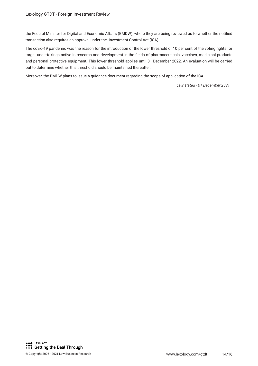the Federal Minister for Digital and Economic Affairs (BMDW), where they are being reviewed as to whether the notifed transaction also requires an approval under the Investment Control Act (ICA) .

The covid-19 pandemic was the reason for the introduction of the lower threshold of 10 per cent of the voting rights for target undertakings active in research and development in the felds of pharmaceuticals, vaccines, medicinal products and personal protective equipment. This lower threshold applies until 31 December 2022. An evaluation will be carried out to determine whether this threshold should be maintained thereafter.

Moreover, the BMDW plans to issue a guidance document regarding the scope of application of the ICA.

*Law stated - 01 December 2021*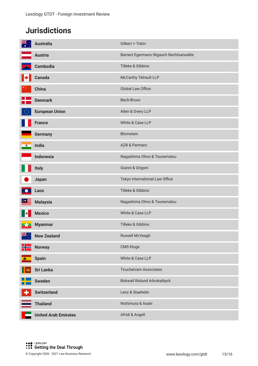# **Jurisdictions**

| <b>NK</b> | <b>Australia</b>            | Gilbert + Tobin                          |
|-----------|-----------------------------|------------------------------------------|
|           | <b>Austria</b>              | Barnert Egermann Illigasch Rechtsanwälte |
|           | <b>Cambodia</b>             | Tilleke & Gibbins                        |
| K         | <b>Canada</b>               | McCarthy Tétrault LLP                    |
|           | <b>China</b>                | Global Law Office                        |
|           | <b>Denmark</b>              | Bech-Bruun                               |
|           | <b>European Union</b>       | Allen & Overy LLP                        |
|           | <b>France</b>               | White & Case LLP                         |
|           | <b>Germany</b>              | Blomstein                                |
| $\bullet$ | India                       | <b>AZB &amp; Partners</b>                |
|           | <b>Indonesia</b>            | Nagashima Ohno & Tsunematsu              |
|           | <b>Italy</b>                | Gianni & Origoni                         |
|           | Japan                       | Tokyo International Law Office           |
|           | Laos                        | Tilleke & Gibbins                        |
|           | <b>Malaysia</b>             | Nagashima Ohno & Tsunematsu              |
|           | <b>Mexico</b>               | White & Case LLP                         |
|           | <b>Myanmar</b>              | Tilleke & Gibbins                        |
| NK .      | <b>New Zealand</b>          | Russell McVeagh                          |
|           | <b>Norway</b>               | CMS Kluge                                |
| - and     | <b>Spain</b>                | White & Case LLP                         |
|           | <b>Sri Lanka</b>            | <b>Tiruchelvam Associates</b>            |
|           | <b>Sweden</b>               | Bokwall Rislund Advokatbyrå              |
|           | <b>Switzerland</b>          | Lenz & Staehelin                         |
|           | <b>Thailand</b>             | Nishimura & Asahi                        |
|           | <b>United Arab Emirates</b> | Afridi & Angell                          |